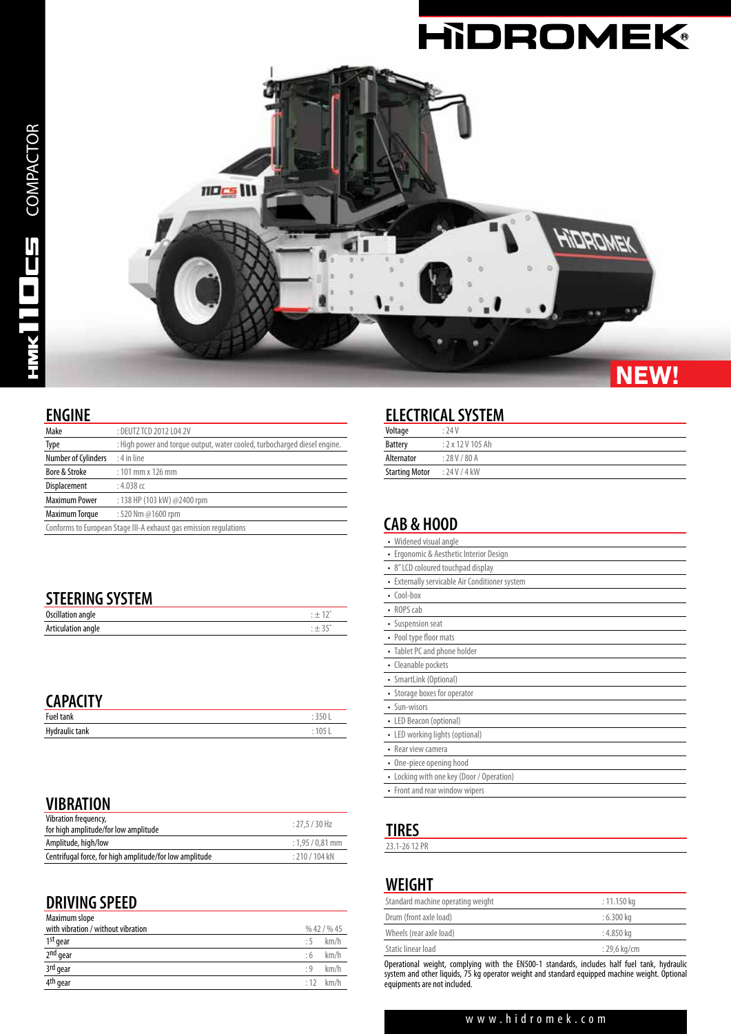

COMPACTOR

 $D_{ES}$  COMPACTOR

#### **ENGINE**

| Make                                                              | : DEUTZ TCD 2012 L04 2V                                                   |  |
|-------------------------------------------------------------------|---------------------------------------------------------------------------|--|
| Type                                                              | : High power and torque output, water cooled, turbocharged diesel engine. |  |
| Number of Cylinders                                               | $: 4$ in line                                                             |  |
| Bore & Stroke                                                     | $: 101$ mm x 126 mm                                                       |  |
| Displacement                                                      | : 4.038 $cc$                                                              |  |
| <b>Maximum Power</b>                                              | : 138 HP (103 kW) @2400 rpm                                               |  |
| Maximum Torque                                                    | : 520 Nm @1600 rpm                                                        |  |
| Conforms to European Stage III-A exhaust gas emission regulations |                                                                           |  |

| <b>STEERING SYSTEM</b> |         |
|------------------------|---------|
| Oscillation angle      |         |
| Articulation angle     | $: +35$ |

#### **CAPACITY**

| <b>VALISTE</b>        |       |  |
|-----------------------|-------|--|
| <b>Fuel tank</b>      |       |  |
| <b>Hydraulic tank</b> | 1 N.E |  |

# **VIBRATION**

| Vibration frequency,                                    | $: 27.5 / 30$ Hz   |
|---------------------------------------------------------|--------------------|
| for high amplitude/for low amplitude                    |                    |
| Amplitude, high/low                                     | $: 1.95 / 0.81$ mm |
| Centrifugal force, for high amplitude/for low amplitude | $: 210 / 104$ kN   |

#### **DRIVING SPEED**

| Maximum slope                      |           |            |
|------------------------------------|-----------|------------|
| with vibration / without vibration |           | %42/%45    |
| 1st gear                           | :5        | km/h       |
| 2 <sup>nd</sup> gear               | :6        | km/h       |
| 3rd gear                           | $\cdot$ 9 | km/h       |
| 4 <sup>th</sup> gear               |           | $:12$ km/h |

# **ELECTRICAL SYSTEM**

| Voltage               | : 74V         |
|-----------------------|---------------|
| <b>Battery</b>        | : 2x12V105Ah  |
| Alternator            | : 28 V / 80 A |
| <b>Starting Motor</b> | : 24V/4kW     |

# **CAB & HOOD**

| Widened visual angle                         |
|----------------------------------------------|
| Ergonomic & Aesthetic Interior Design        |
| • 8" LCD coloured touchpad display           |
| Externally servicable Air Conditioner system |
| $\cdot$ Cool-box                             |
| • ROPS cab                                   |
| • Suspension seat                            |
| • Pool type floor mats                       |
| • Tablet PC and phone holder                 |
| • Cleanable pockets                          |
| • SmartLink (Optional)                       |
| • Storage boxes for operator                 |
| • Sun-wisors                                 |
| • LED Beacon (optional)                      |
| • LED working lights (optional)              |
| • Rear view camera                           |
| • One-piece opening hood                     |
| • Locking with one key (Door / Operation)    |
| • Front and rear window wipers               |

# **TIRES**

23.1-26 12 PR

#### **WEIGHT**

| $: 11.150 \text{ kg}$  |
|------------------------|
| : 6.300 ka             |
| : 4.850 ka             |
| $: 29.6 \text{ kg/cm}$ |
|                        |

Operational weight, complying with the EN500-1 standards, includes half fuel tank, hydraulic system and other liquids, 75 kg operator weight and standard equipped machine weight. Optional equipments are not included.

#### www.hidromek.com